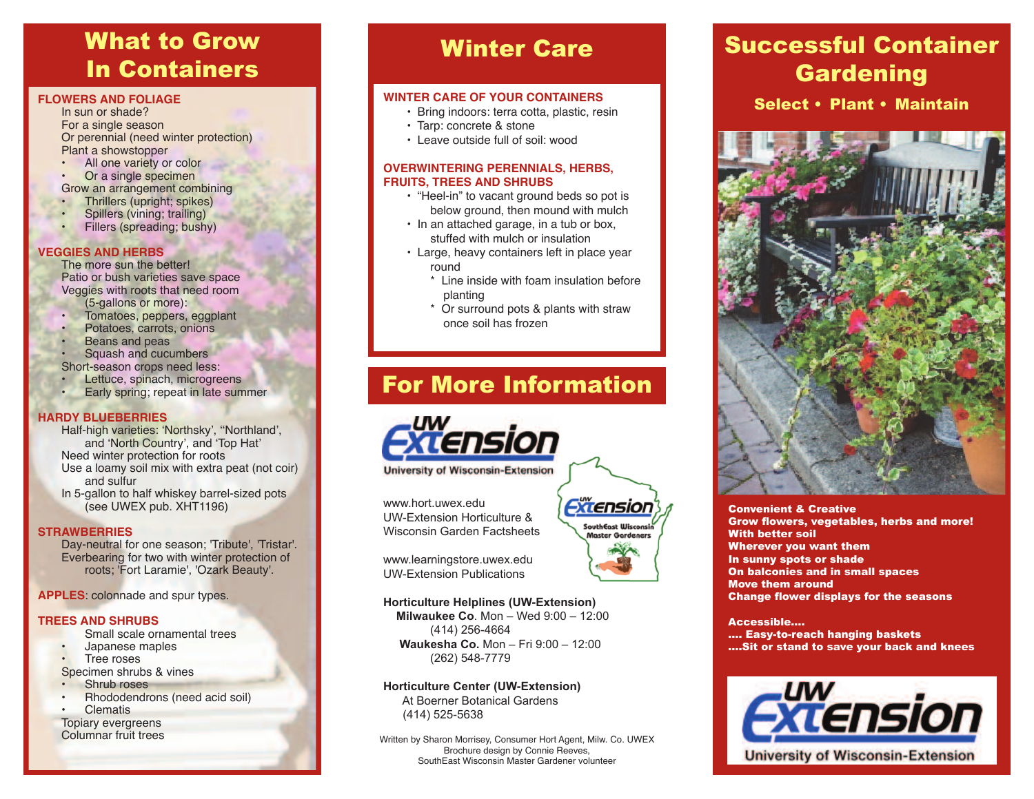# What to Grow In Containers

#### **FLOWERS AND FOLIAGE**

In sun or shade? For a single season Or perennial (need winter protection) Plant a showstopper

- All one variety or color
- Or a single specimen

## Grow an arrangement combining

- Thrillers (upright; spikes)
- Spillers (vining; trailing)
- Fillers (spreading; bushy)

#### **VEGGIES AND HERBS**

The more sun the better! Patio or bush varieties save space Veggies with roots that need room (5-gallons or more):

- Tomatoes, peppers, eggplant
- Potatoes, carrots, onions
- Beans and peas
- Squash and cucumbers Short-season crops need less:
- Lettuce, spinach, microgreens
- Early spring; repeat in late summer

#### **HARDY BLUEBERRIES**

Half-high varieties: 'Northsky', ''Northland', and 'North Country', and 'Top Hat' Need winter protection for roots

Use a loamy soil mix with extra peat (not coir) and sulfur

In 5-gallon to half whiskey barrel-sized pots (see UWEX pub. XHT1196)

#### **STRAWBERRIES**

Day-neutral for one season; 'Tribute', 'Tristar'. Everbearing for two with winter protection of roots; 'Fort Laramie', 'Ozark Beauty'.

**APPLES**: colonnade and spur types.

#### **TREES AND SHRUBS**

Small scale ornamental trees

• Japanese maples • Tree roses

Specimen shrubs & vines

- Shrub roses
- Rhododendrons (need acid soil)
- **Clematis**

Topiary evergreens Columnar fruit trees

### **WINTER CARE OF YOUR CONTAINERS**

- Bring indoors: terra cotta, plastic, resin
- Tarp: concrete & stone
- Leave outside full of soil: wood

### **OVERWINTERING PERENNIALS, HERBS, FRUITS, TREES AND SHRUBS**

- "Heel-in" to vacant ground beds so pot is below ground, then mound with mulch
- In an attached garage, in a tub or box, stuffed with mulch or insulation
- Large, heavy containers left in place year round
	- \* Line inside with foam insulation before planting
	- \* Or surround pots & plants with straw once soil has frozen

# For More Information



**University of Wisconsin-Extension** 

www.hort.uwex.edu UW-Extension Horticulture & Wisconsin Garden Factsheets

www.learningstore.uwex.edu UW-Extension Publications

#### **Horticulture Helplines (UW-Extension)**

**Milwaukee Co**. Mon – Wed 9:00 – 12:00 (414) 256-4664 **Waukesha Co.** Mon – Fri 9:00 – 12:00 (262) 548-7779

#### **Horticulture Center (UW-Extension)** At Boerner Botanical Gardens (414) 525-5638

Written by Sharon Morrisey, Consumer Hort Agent, Milw. Co. UWEX Brochure design by Connie Reeves, SouthEast Wisconsin Master Gardener volunteer

# Winter Care **Successful Container Gardening**

Select • Plant • Maintain



#### Convenient & Creative

Grow flowers, vegetables, herbs and more! With better soil Wherever you want them In sunny spots or shade On balconies and in small spaces Move them around Change flower displays for the seasons

#### Accessible….

- …. Easy-to-reach hanging baskets
- ….Sit or stand to save your back and knees